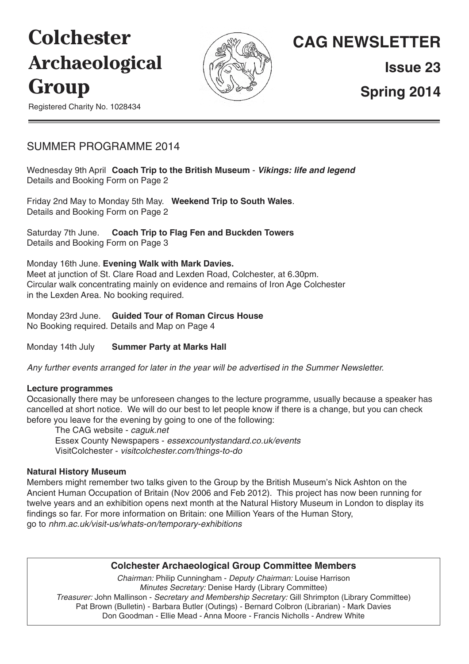# **Colchester Archaeological Group**



## **CAG NEWSLETTER**

**Issue 23**

**Spring 2014**

Registered Charity No. 1028434

### SUMMER PROGRAMME 2014

Wednesday 9th April **Coach Trip to the British Museum** - *Vikings: life and legend* Details and Booking Form on Page 2

Friday 2nd May to Monday 5th May. **Weekend Trip to South Wales**. Details and Booking Form on Page 2

Saturday 7th June. **Coach Trip to Flag Fen and Buckden Towers** Details and Booking Form on Page 3

Monday 16th June. **Evening Walk with Mark Davies.**

Meet at junction of St. Clare Road and Lexden Road, Colchester, at 6.30pm. Circular walk concentrating mainly on evidence and remains of Iron Age Colchester in the Lexden Area. No booking required.

Monday 23rd June. **Guided Tour of Roman Circus House** No Booking required. Details and Map on Page 4

Monday 14th July **Summer Party at Marks Hall**

*Any further events arranged for later in the year will be advertised in the Summer Newsletter.*

#### **Lecture programmes**

Occasionally there may be unforeseen changes to the lecture programme, usually because a speaker has cancelled at short notice. We will do our best to let people know if there is a change, but you can check before you leave for the evening by going to one of the following:

The CAG website - *caguk.net* Essex County Newspapers - *essexcountystandard.co.uk/events* VisitColchester - *visitcolchester.com/things-to-do*

#### **Natural History Museum**

Members might remember two talks given to the Group by the British Museum's Nick Ashton on the Ancient Human Occupation of Britain (Nov 2006 and Feb 2012). This project has now been running for twelve years and an exhibition opens next month at the Natural History Museum in London to display its findings so far. For more information on Britain: one Million Years of the Human Story, go to *nhm.ac.uk/visit-us/whats-on/temporary-exhibitions*

#### **Colchester Archaeological Group Committee Members**

*Chairman:* Philip Cunningham - *Deputy Chairman:* Louise Harrison *Minutes Secretary:* Denise Hardy (Library Committee) *Treasurer:* John Mallinson - *Secretary and Membership Secretary:* Gill Shrimpton (Library Committee) Pat Brown (Bulletin) - Barbara Butler (Outings) - Bernard Colbron (Librarian) - Mark Davies Don Goodman - Ellie Mead - Anna Moore - Francis Nicholls - Andrew White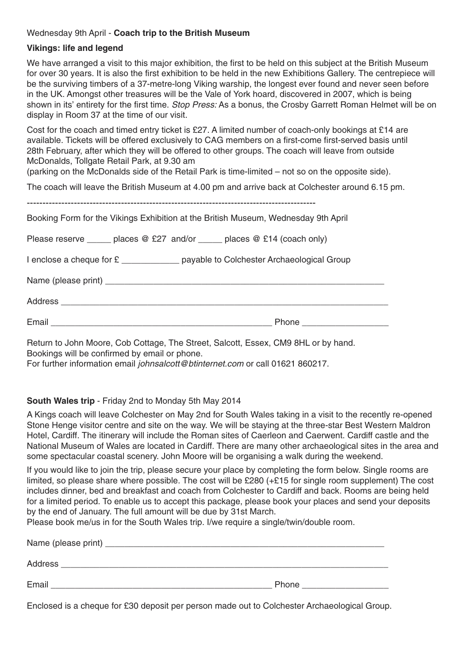#### Wednesday 9th April - **Coach trip to the British Museum**

#### **Vikings: life and legend**

We have arranged a visit to this major exhibition, the first to be held on this subject at the British Museum for over 30 years. It is also the first exhibition to be held in the new Exhibitions Gallery. The centrepiece will be the surviving timbers of a 37-metre-long Viking warship, the longest ever found and never seen before in the UK. Amongst other treasures will be the Vale of York hoard, discovered in 2007, which is being shown in its' entirety for the first time. *Stop Press:* As a bonus, the Crosby Garrett Roman Helmet will be on display in Room 37 at the time of our visit.

Cost for the coach and timed entry ticket is £27. A limited number of coach-only bookings at £14 are available. Tickets will be offered exclusively to CAG members on a first-come first-served basis until 28th February, after which they will be offered to other groups. The coach will leave from outside McDonalds, Tollgate Retail Park, at 9.30 am

(parking on the McDonalds side of the Retail Park is time-limited – not so on the opposite side).

The coach will leave the British Museum at 4.00 pm and arrive back at Colchester around 6.15 pm.

| Booking Form for the Vikings Exhibition at the British Museum, Wednesday 9th April |                             |  |
|------------------------------------------------------------------------------------|-----------------------------|--|
| Please reserve ______ places $@E27$ and/or _____ places $@E14$ (coach only)        |                             |  |
| I enclose a cheque for £ ______________ payable to Colchester Archaeological Group |                             |  |
|                                                                                    |                             |  |
|                                                                                    |                             |  |
|                                                                                    | Phone _____________________ |  |

Return to John Moore, Cob Cottage, The Street, Salcott, Essex, CM9 8HL or by hand. Bookings will be confirmed by email or phone.

For further information email *johnsalcott@btinternet.com* or call 01621 860217.

#### **South Wales trip** - Friday 2nd to Monday 5th May 2014

A Kings coach will leave Colchester on May 2nd for South Wales taking in a visit to the recently re-opened Stone Henge visitor centre and site on the way. We will be staying at the three-star Best Western Maldron Hotel, Cardiff. The itinerary will include the Roman sites of Caerleon and Caerwent. Cardiff castle and the National Museum of Wales are located in Cardiff. There are many other archaeological sites in the area and some spectacular coastal scenery. John Moore will be organising a walk during the weekend.

If you would like to join the trip, please secure your place by completing the form below. Single rooms are limited, so please share where possible. The cost will be £280  $(+£15$  for single room supplement) The cost includes dinner, bed and breakfast and coach from Colchester to Cardiff and back. Rooms are being held for a limited period. To enable us to accept this package, please book your places and send your deposits by the end of January. The full amount will be due by 31st March.

Please book me/us in for the South Wales trip. I/we require a single/twin/double room.

| Name (please print) _ |       |
|-----------------------|-------|
| <b>Address</b>        |       |
| Email                 | Phone |

Enclosed is a cheque for £30 deposit per person made out to Colchester Archaeological Group.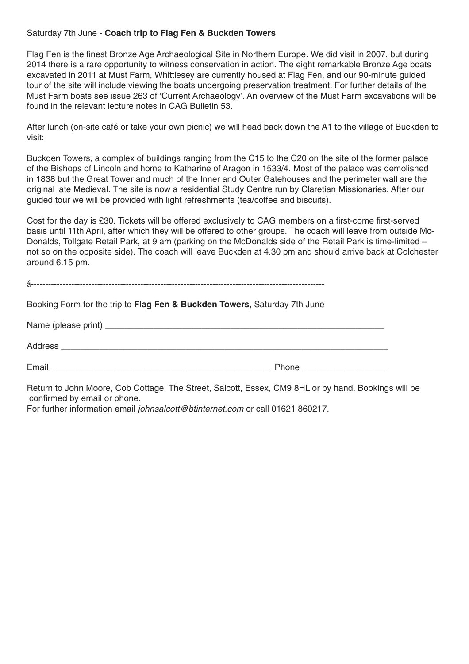#### Saturday 7th June - **Coach trip to Flag Fen & Buckden Towers**

Flag Fen is the finest Bronze Age Archaeological Site in Northern Europe. We did visit in 2007, but during 2014 there is a rare opportunity to witness conservation in action. The eight remarkable Bronze Age boats excavated in 2011 at Must Farm, Whittlesey are currently housed at Flag Fen, and our 90-minute guided tour of the site will include viewing the boats undergoing preservation treatment. For further details of the Must Farm boats see issue 263 of 'Current Archaeology'. An overview of the Must Farm excavations will be found in the relevant lecture notes in CAG Bulletin 53.

After lunch (on-site café or take your own picnic) we will head back down the A1 to the village of Buckden to visit:

Buckden Towers, a complex of buildings ranging from the C15 to the C20 on the site of the former palace of the Bishops of Lincoln and home to Katharine of Aragon in 1533/4. Most of the palace was demolished in 1838 but the Great Tower and much of the Inner and Outer Gatehouses and the perimeter wall are the original late Medieval. The site is now a residential Study Centre run by Claretian Missionaries. After our guided tour we will be provided with light refreshments (tea/coffee and biscuits).

Cost for the day is £30. Tickets will be offered exclusively to CAG members on a first-come first-served basis until 11th April, after which they will be offered to other groups. The coach will leave from outside Mc-Donalds, Tollgate Retail Park, at 9 am (parking on the McDonalds side of the Retail Park is time-limited – not so on the opposite side). The coach will leave Buckden at 4.30 pm and should arrive back at Colchester around 6.15 pm.

Booking Form for the trip to **Flag Fen & Buckden Towers**, Saturday 7th June

| Name (please print) __ |       |
|------------------------|-------|
| Address                |       |
| Email                  | Phone |

Return to John Moore, Cob Cottage, The Street, Salcott, Essex, CM9 8HL or by hand. Bookings will be confirmed by email or phone.

For further information email *johnsalcott@btinternet.com* or call 01621 860217.